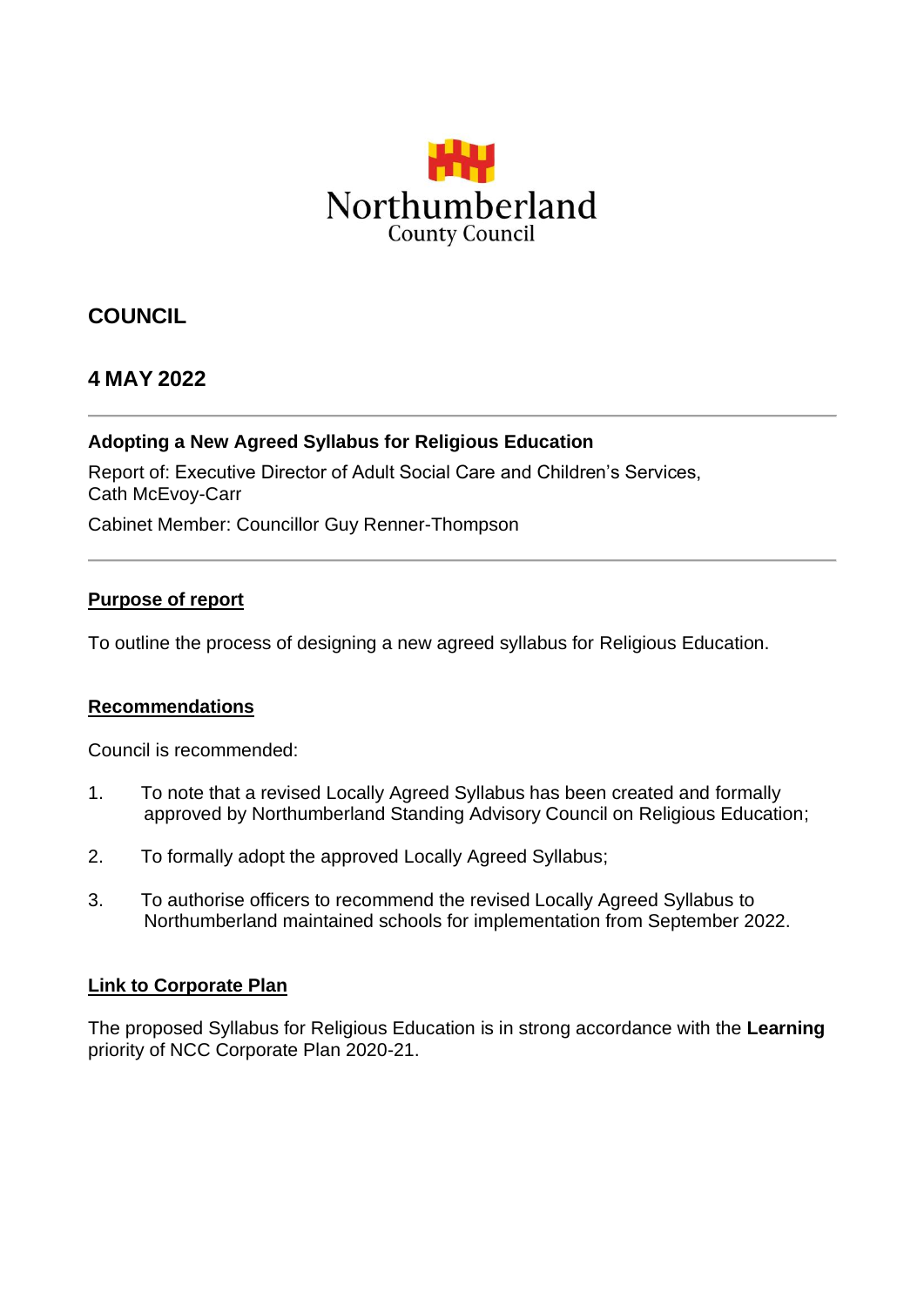

# **COUNCIL**

## **4 MAY 2022**

#### **Adopting a New Agreed Syllabus for Religious Education**

Report of: Executive Director of Adult Social Care and Children's Services, Cath McEvoy-Carr Cabinet Member: Councillor Guy Renner-Thompson

#### **Purpose of report**

To outline the process of designing a new agreed syllabus for Religious Education.

#### **Recommendations**

Council is recommended:

- 1. To note that a revised Locally Agreed Syllabus has been created and formally approved by Northumberland Standing Advisory Council on Religious Education;
- 2. To formally adopt the approved Locally Agreed Syllabus;
- 3. To authorise officers to recommend the revised Locally Agreed Syllabus to Northumberland maintained schools for implementation from September 2022.

#### **Link to Corporate Plan**

The proposed Syllabus for Religious Education is in strong accordance with the **Learning** priority of NCC Corporate Plan 2020-21.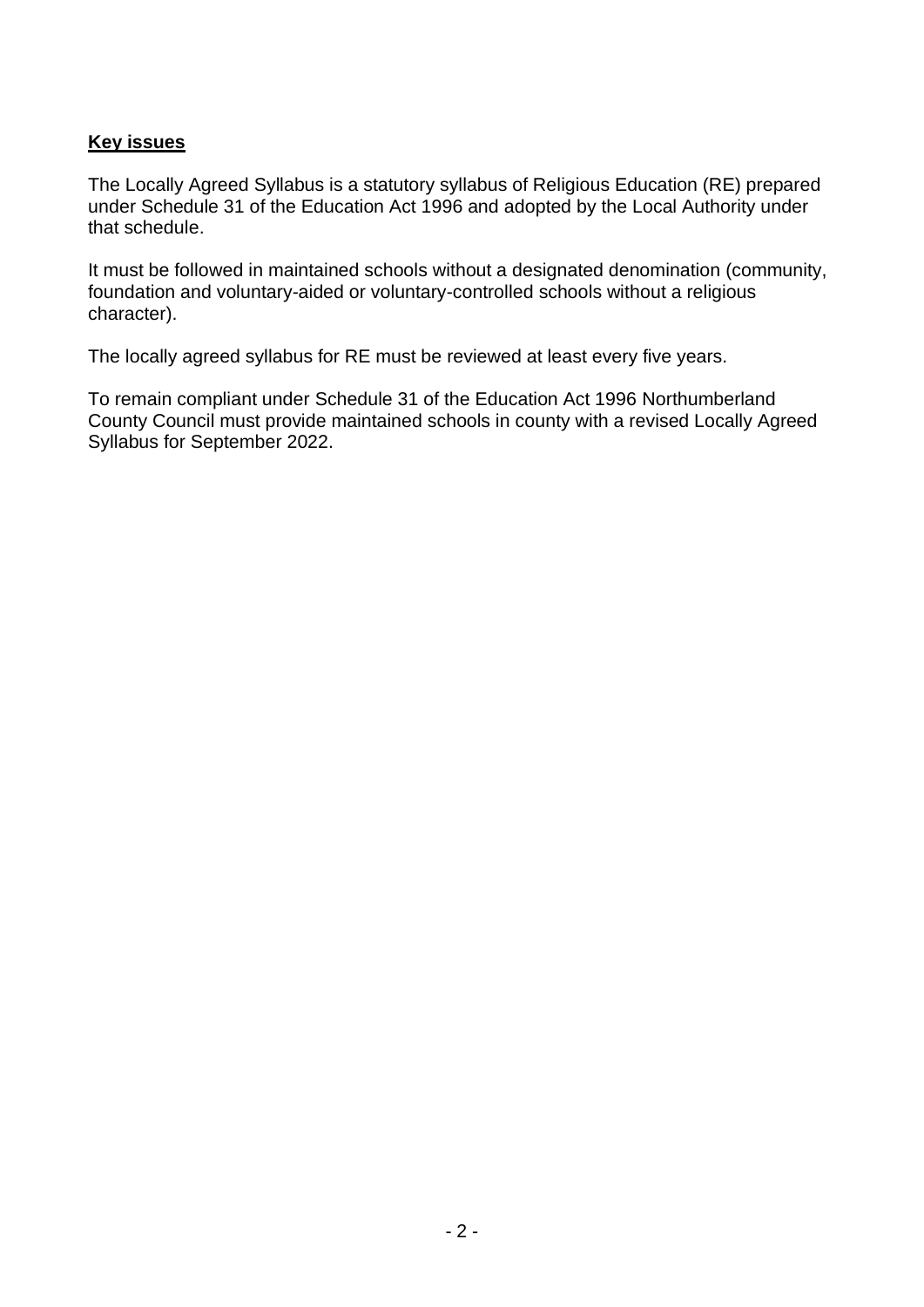## **Key issues**

The Locally Agreed Syllabus is a statutory syllabus of Religious Education (RE) prepared under Schedule 31 of the Education Act 1996 and adopted by the Local Authority under that schedule.

It must be followed in maintained schools without a designated denomination (community, foundation and voluntary-aided or voluntary-controlled schools without a religious character).

The locally agreed syllabus for RE must be reviewed at least every five years.

To remain compliant under Schedule 31 of the Education Act 1996 Northumberland County Council must provide maintained schools in county with a revised Locally Agreed Syllabus for September 2022.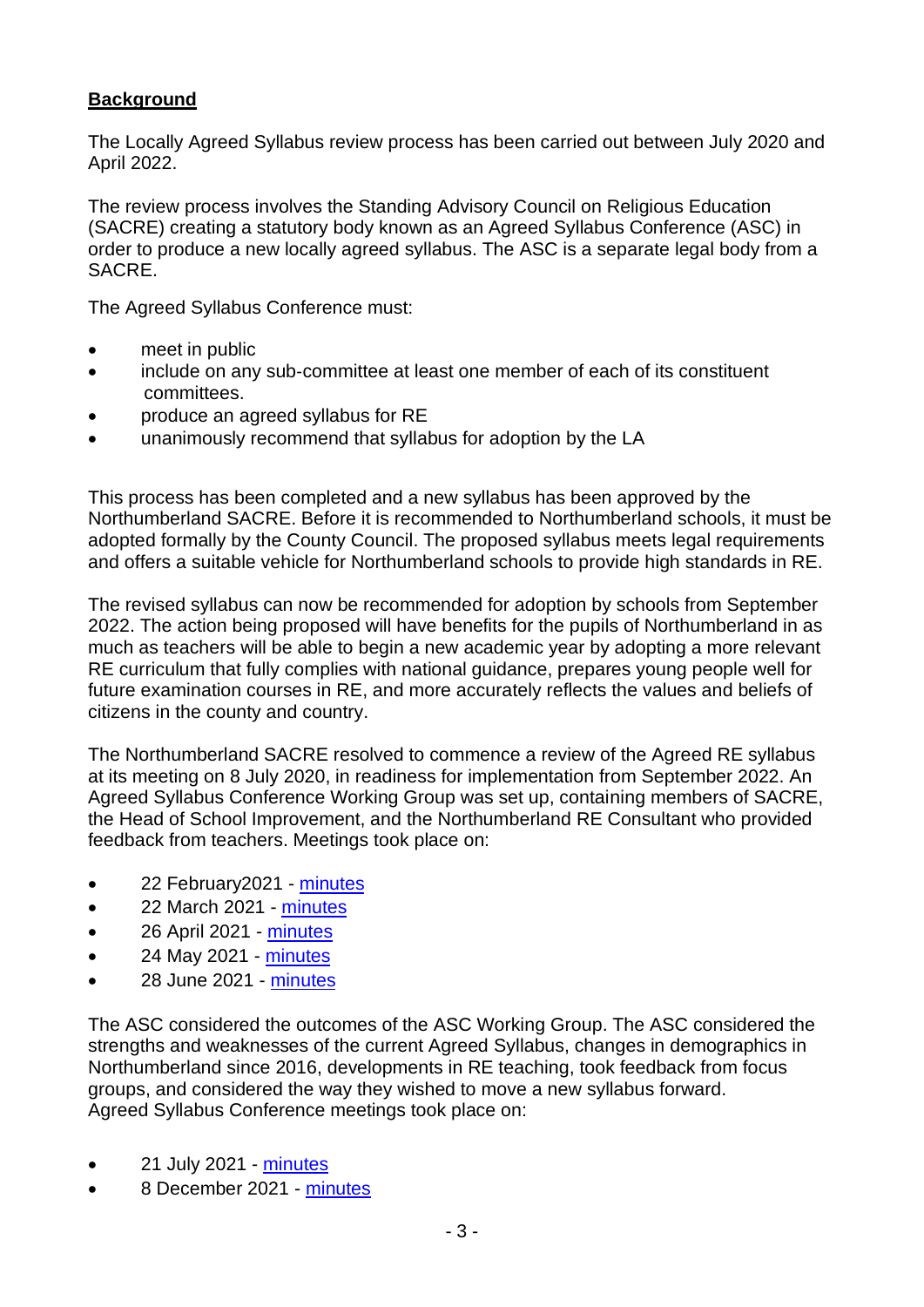## **Background**

The Locally Agreed Syllabus review process has been carried out between July 2020 and April 2022.

The review process involves the Standing Advisory Council on Religious Education (SACRE) creating a statutory body known as an Agreed Syllabus Conference (ASC) in order to produce a new locally agreed syllabus. The ASC is a separate legal body from a SACRE.

The Agreed Syllabus Conference must:

- meet in public
- include on any sub-committee at least one member of each of its constituent committees.
- produce an agreed syllabus for RE
- unanimously recommend that syllabus for adoption by the LA

This process has been completed and a new syllabus has been approved by the Northumberland SACRE. Before it is recommended to Northumberland schools, it must be adopted formally by the County Council. The proposed syllabus meets legal requirements and offers a suitable vehicle for Northumberland schools to provide high standards in RE.

The revised syllabus can now be recommended for adoption by schools from September 2022. The action being proposed will have benefits for the pupils of Northumberland in as much as teachers will be able to begin a new academic year by adopting a more relevant RE curriculum that fully complies with national guidance, prepares young people well for future examination courses in RE, and more accurately reflects the values and beliefs of citizens in the county and country.

The Northumberland SACRE resolved to commence a review of the Agreed RE syllabus at its meeting on 8 July 2020, in readiness for implementation from September 2022. An Agreed Syllabus Conference Working Group was set up, containing members of SACRE, the Head of School Improvement, and the Northumberland RE Consultant who provided feedback from teachers. Meetings took place on:

- 22 February 2021 [minutes](https://northumberlandeducation.co.uk/wp-content/uploads/2022/02/ASC-Minutes-22-February-2021-2.pdf)
- 22 March 2021 [minutes](https://northumberlandeducation.co.uk/wp-content/uploads/2022/01/ASC-Minutes-22-March-2021-4.pdf)
- 26 April 2021 [minutes](https://northumberlandeducation.co.uk/wp-content/uploads/2022/01/ASC-Minutes-Monday-26th-April-2021-2.pdf)
- 24 May 2021 [minutes](https://northumberlandeducation.co.uk/wp-content/uploads/2022/01/ASC-Minutes-Monday-24th-May-20211-1-1.pdf)
- 28 June 2021 [minutes](https://northumberlandeducation.co.uk/wp-content/uploads/2022/01/ASC-Minutes-Monday-28th-June-2021.pdf)

The ASC considered the outcomes of the ASC Working Group. The ASC considered the strengths and weaknesses of the current Agreed Syllabus, changes in demographics in Northumberland since 2016, developments in RE teaching, took feedback from focus groups, and considered the way they wished to move a new syllabus forward. Agreed Syllabus Conference meetings took place on:

- $\bullet$  21 July 2021 [minutes](https://northumberland.moderngov.co.uk/documents/s8632/ASC%20-%20Minutes.pdf)
- 8 December 2021 [minutes](https://northumberland.moderngov.co.uk/ieListDocuments.aspx?CId=180&MId=1575&Ver=4)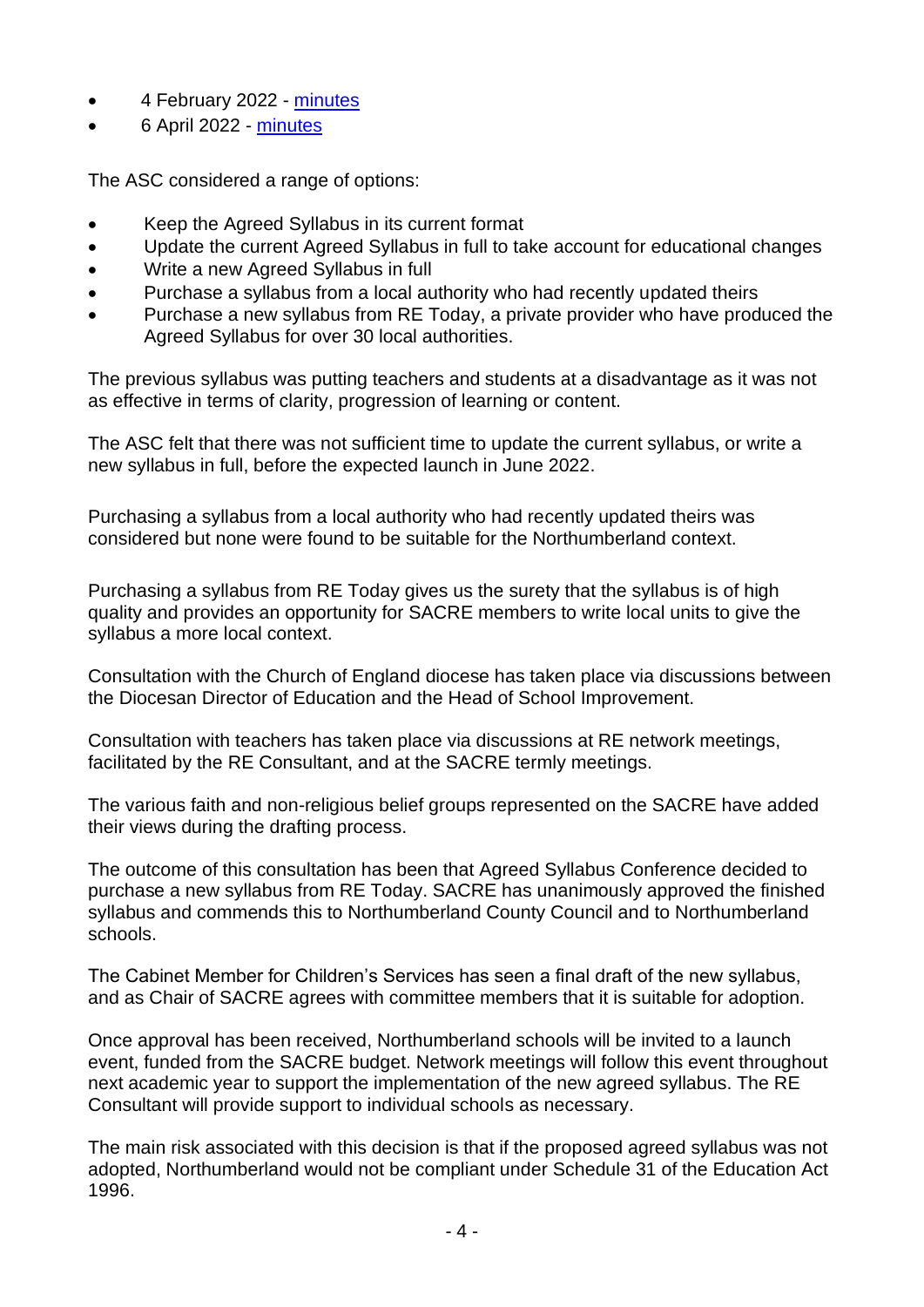- 4 February 2022 [minutes](https://northumberland.moderngov.co.uk/ieListDocuments.aspx?CId=180&MId=1576&Ver=4)
- 6 April 2022 [minutes](https://northumberland.moderngov.co.uk/ieListDocuments.aspx?CId=180&MId=1849&Ver=4)

The ASC considered a range of options:

- Keep the Agreed Syllabus in its current format
- Update the current Agreed Syllabus in full to take account for educational changes
- Write a new Agreed Syllabus in full
- Purchase a syllabus from a local authority who had recently updated theirs
- Purchase a new syllabus from RE Today, a private provider who have produced the Agreed Syllabus for over 30 local authorities.

The previous syllabus was putting teachers and students at a disadvantage as it was not as effective in terms of clarity, progression of learning or content.

The ASC felt that there was not sufficient time to update the current syllabus, or write a new syllabus in full, before the expected launch in June 2022.

Purchasing a syllabus from a local authority who had recently updated theirs was considered but none were found to be suitable for the Northumberland context.

Purchasing a syllabus from RE Today gives us the surety that the syllabus is of high quality and provides an opportunity for SACRE members to write local units to give the syllabus a more local context.

Consultation with the Church of England diocese has taken place via discussions between the Diocesan Director of Education and the Head of School Improvement.

Consultation with teachers has taken place via discussions at RE network meetings, facilitated by the RE Consultant, and at the SACRE termly meetings.

The various faith and non-religious belief groups represented on the SACRE have added their views during the drafting process.

The outcome of this consultation has been that Agreed Syllabus Conference decided to purchase a new syllabus from RE Today. SACRE has unanimously approved the finished syllabus and commends this to Northumberland County Council and to Northumberland schools.

The Cabinet Member for Children's Services has seen a final draft of the new syllabus, and as Chair of SACRE agrees with committee members that it is suitable for adoption.

Once approval has been received, Northumberland schools will be invited to a launch event, funded from the SACRE budget. Network meetings will follow this event throughout next academic year to support the implementation of the new agreed syllabus. The RE Consultant will provide support to individual schools as necessary.

The main risk associated with this decision is that if the proposed agreed syllabus was not adopted, Northumberland would not be compliant under Schedule 31 of the Education Act 1996.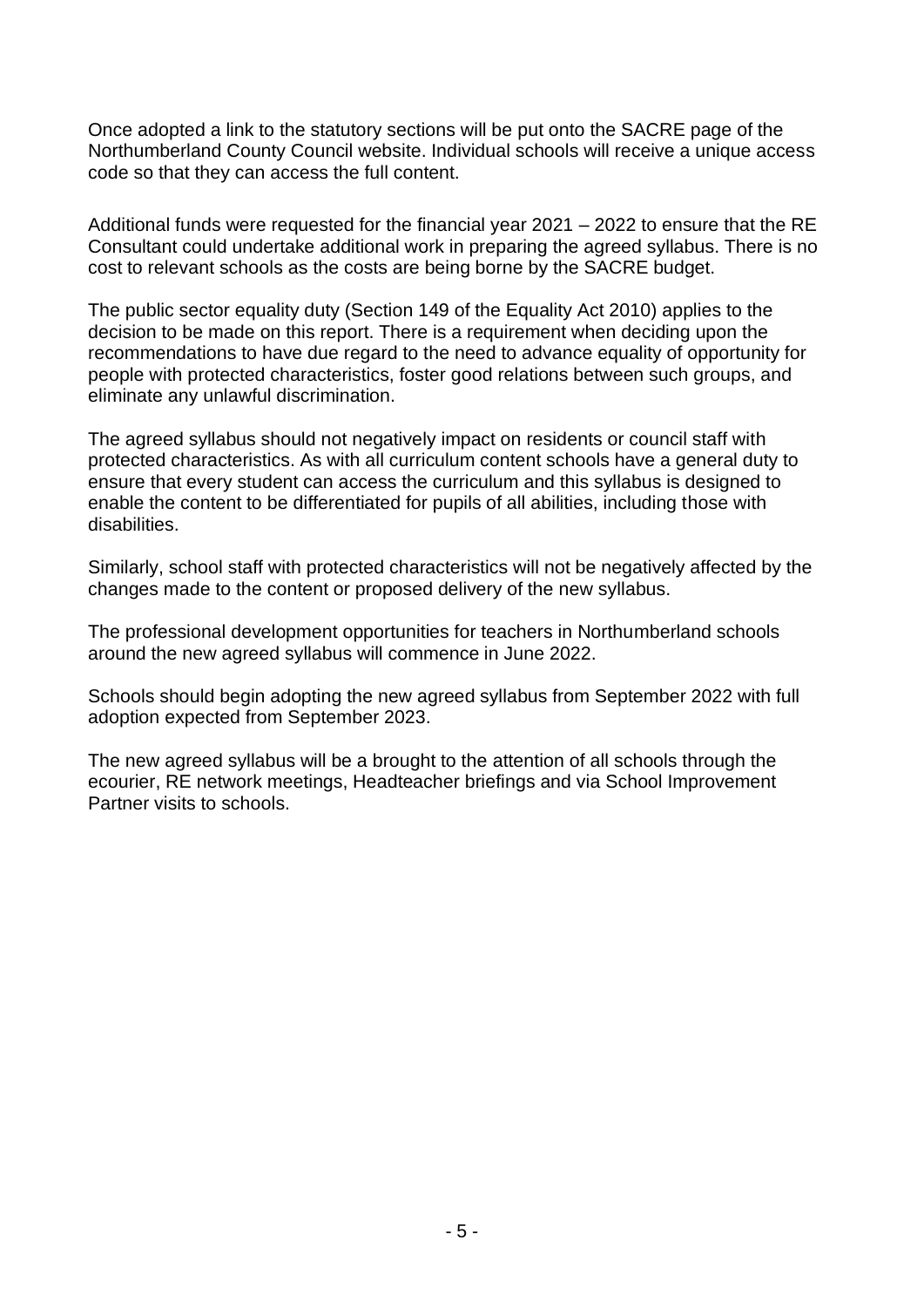Once adopted a link to the statutory sections will be put onto the SACRE page of the Northumberland County Council website. Individual schools will receive a unique access code so that they can access the full content.

Additional funds were requested for the financial year 2021 – 2022 to ensure that the RE Consultant could undertake additional work in preparing the agreed syllabus. There is no cost to relevant schools as the costs are being borne by the SACRE budget.

The public sector equality duty (Section 149 of the Equality Act 2010) applies to the decision to be made on this report. There is a requirement when deciding upon the recommendations to have due regard to the need to advance equality of opportunity for people with protected characteristics, foster good relations between such groups, and eliminate any unlawful discrimination.

The agreed syllabus should not negatively impact on residents or council staff with protected characteristics. As with all curriculum content schools have a general duty to ensure that every student can access the curriculum and this syllabus is designed to enable the content to be differentiated for pupils of all abilities, including those with disabilities.

Similarly, school staff with protected characteristics will not be negatively affected by the changes made to the content or proposed delivery of the new syllabus.

The professional development opportunities for teachers in Northumberland schools around the new agreed syllabus will commence in June 2022.

Schools should begin adopting the new agreed syllabus from September 2022 with full adoption expected from September 2023.

The new agreed syllabus will be a brought to the attention of all schools through the ecourier, RE network meetings, Headteacher briefings and via School Improvement Partner visits to schools.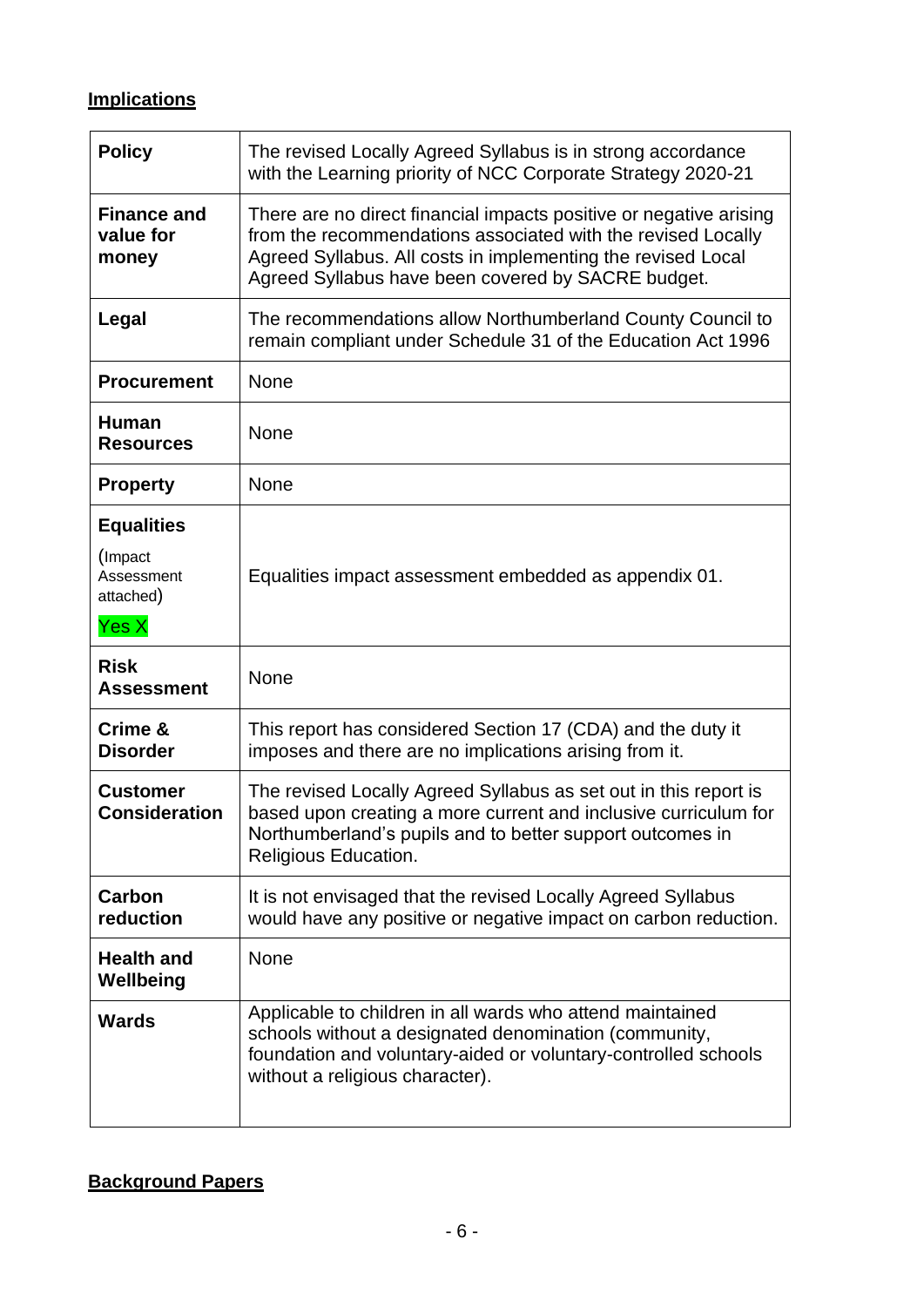# **Implications**

| <b>Policy</b>                                                           | The revised Locally Agreed Syllabus is in strong accordance<br>with the Learning priority of NCC Corporate Strategy 2020-21                                                                                                                              |  |
|-------------------------------------------------------------------------|----------------------------------------------------------------------------------------------------------------------------------------------------------------------------------------------------------------------------------------------------------|--|
| <b>Finance and</b><br>value for<br>money                                | There are no direct financial impacts positive or negative arising<br>from the recommendations associated with the revised Locally<br>Agreed Syllabus. All costs in implementing the revised Local<br>Agreed Syllabus have been covered by SACRE budget. |  |
| Legal                                                                   | The recommendations allow Northumberland County Council to<br>remain compliant under Schedule 31 of the Education Act 1996                                                                                                                               |  |
| <b>Procurement</b>                                                      | None                                                                                                                                                                                                                                                     |  |
| <b>Human</b><br><b>Resources</b>                                        | None                                                                                                                                                                                                                                                     |  |
| <b>Property</b>                                                         | None                                                                                                                                                                                                                                                     |  |
| <b>Equalities</b><br>(Impact<br>Assessment<br>attached)<br><b>Yes X</b> | Equalities impact assessment embedded as appendix 01.                                                                                                                                                                                                    |  |
| <b>Risk</b><br><b>Assessment</b>                                        | None                                                                                                                                                                                                                                                     |  |
| Crime &<br><b>Disorder</b>                                              | This report has considered Section 17 (CDA) and the duty it<br>imposes and there are no implications arising from it.                                                                                                                                    |  |
| <b>Customer</b><br><b>Consideration</b>                                 | The revised Locally Agreed Syllabus as set out in this report is<br>based upon creating a more current and inclusive curriculum for<br>Northumberland's pupils and to better support outcomes in<br>Religious Education.                                 |  |
| Carbon<br>reduction                                                     | It is not envisaged that the revised Locally Agreed Syllabus<br>would have any positive or negative impact on carbon reduction.                                                                                                                          |  |
| <b>Health and</b><br>Wellbeing                                          | None                                                                                                                                                                                                                                                     |  |
| <b>Wards</b>                                                            | Applicable to children in all wards who attend maintained<br>schools without a designated denomination (community,<br>foundation and voluntary-aided or voluntary-controlled schools<br>without a religious character).                                  |  |

# **Background Papers**